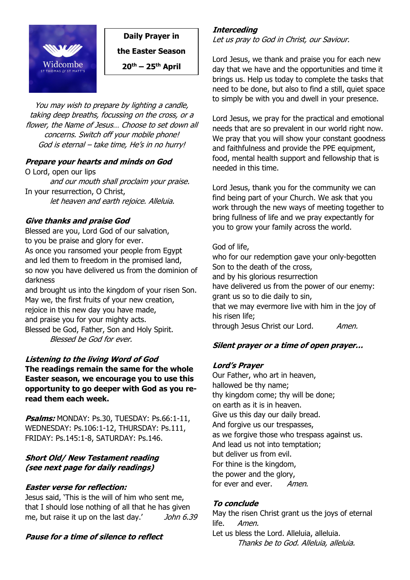

**Daily Prayer in** 

**the Easter Season**

**20th – 25th April**

You may wish to prepare by lighting a candle, taking deep breaths, focussing on the cross, or a flower, the Name of Jesus… Choose to set down all concerns. Switch off your mobile phone! God is eternal – take time, He's in no hurry!

#### **Prepare your hearts and minds on God**

O Lord, open our lips and our mouth shall proclaim your praise. In your resurrection, O Christ, let heaven and earth rejoice. Alleluia.

#### **Give thanks and praise God**

Blessed are you, Lord God of our salvation, to you be praise and glory for ever. As once you ransomed your people from Egypt and led them to freedom in the promised land, so now you have delivered us from the dominion of darkness

and brought us into the kingdom of your risen Son. May we, the first fruits of your new creation, rejoice in this new day you have made, and praise you for your mighty acts. Blessed be God, Father, Son and Holy Spirit. Blessed be God for ever.

#### **Listening to the living Word of God**

**The readings remain the same for the whole Easter season, we encourage you to use this opportunity to go deeper with God as you reread them each week.**

**Psalms:** MONDAY: Ps.30, TUESDAY: Ps.66:1-11, WEDNESDAY: Ps.106:1-12, THURSDAY: Ps.111, FRIDAY: Ps.145:1-8, SATURDAY: Ps.146.

#### **Short Old/ New Testament reading (see next page for daily readings)**

## **Easter verse for reflection:**

Jesus said, 'This is the will of him who sent me, that I should lose nothing of all that he has given me, but raise it up on the last day.' John 6.39

## **Pause for a time of silence to reflect**

#### **Interceding**

Let us pray to God in Christ, our Saviour.

Lord Jesus, we thank and praise you for each new day that we have and the opportunities and time it brings us. Help us today to complete the tasks that need to be done, but also to find a still, quiet space to simply be with you and dwell in your presence.

Lord Jesus, we pray for the practical and emotional needs that are so prevalent in our world right now. We pray that you will show your constant goodness and faithfulness and provide the PPE equipment, food, mental health support and fellowship that is needed in this time.

Lord Jesus, thank you for the community we can find being part of your Church. We ask that you work through the new ways of meeting together to bring fullness of life and we pray expectantly for you to grow your family across the world.

#### God of life,

who for our redemption gave your only-begotten Son to the death of the cross, and by his glorious resurrection have delivered us from the power of our enemy: grant us so to die daily to sin, that we may evermore live with him in the joy of his risen life; through Jesus Christ our Lord. Amen.

## **Silent prayer or a time of open prayer…**

## **Lord's Prayer**

Our Father, who art in heaven, hallowed be thy name; thy kingdom come; thy will be done; on earth as it is in heaven. Give us this day our daily bread. And forgive us our trespasses, as we forgive those who trespass against us. And lead us not into temptation; but deliver us from evil. For thine is the kingdom, the power and the glory, for ever and ever. Amen.

## **To conclude**

May the risen Christ grant us the joys of eternal life. *Amen.* 

Let us bless the Lord. Alleluia, alleluia. Thanks be to God. Alleluia, alleluia.